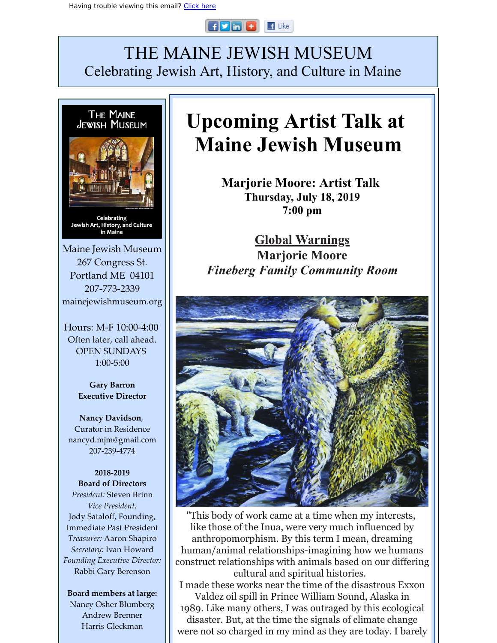#### $F$  in  $F$  $\blacksquare$  Like

## THE MAINE JEWISH MUSEUM Celebrating Jewish Art, History, and Culture in Maine



Maine Jewish Museum 267 Congress St. Portland ME 04101 207-773-2339 mainejewishmuseum.org

Hours: M-F 10:00-4:00 Often later, call ahead. OPEN SUNDAYS 1:00-5:00

> **Gary Barron Executive Director**

**Nancy Davidson**, Curator in Residence nancyd.mjm@gmail.com 207-239-4774

**2018-2019 Board of Directors** *President:* Steven Brinn *Vice President:* Jody Sataloff, Founding, Immediate Past President *Treasurer:* Aaron Shapiro *Secretary:* Ivan Howard *Founding Executive Director:* Rabbi Gary Berenson

**Board members at large:** Nancy Osher Blumberg Andrew Brenner Harris Gleckman

# **Upcoming Artist Talk at Maine Jewish Museum**

**Marjorie Moore: Artist Talk Thursday, July 18, 2019 7:00 pm**

**Global Warnings Marjorie Moore** *Fineberg Family Community Room*



"This body of work came at a time when my interests, like those of the Inua, were very much influenced by anthropomorphism. By this term I mean, dreaming human/animal relationships-imagining how we humans construct relationships with animals based on our differing cultural and spiritual histories. I made these works near the time of the disastrous Exxon Valdez oil spill in Prince William Sound, Alaska in 1989. Like many others, I was outraged by this ecological disaster. But, at the time the signals of climate change were not so charged in my mind as they are today. I barely